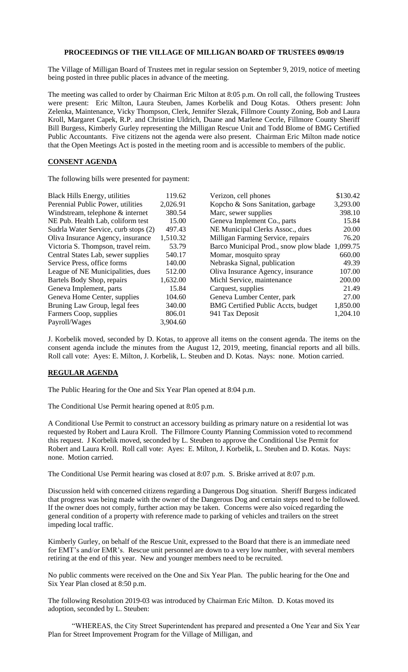## **PROCEEDINGS OF THE VILLAGE OF MILLIGAN BOARD OF TRUSTEES 09/09/19**

The Village of Milligan Board of Trustees met in regular session on September 9, 2019, notice of meeting being posted in three public places in advance of the meeting.

The meeting was called to order by Chairman Eric Milton at 8:05 p.m. On roll call, the following Trustees were present: Eric Milton, Laura Steuben, James Korbelik and Doug Kotas. Others present: John Zelenka, Maintenance, Vicky Thompson, Clerk, Jennifer Slezak, Fillmore County Zoning, Bob and Laura Kroll, Margaret Capek, R.P. and Christine Uldrich, Duane and Marlene Cecrle, Fillmore County Sheriff Bill Burgess, Kimberly Gurley representing the Milligan Rescue Unit and Todd Blome of BMG Certified Public Accountants. Five citizens not the agenda were also present. Chairman Eric Milton made notice that the Open Meetings Act is posted in the meeting room and is accessible to members of the public.

## **CONSENT AGENDA**

The following bills were presented for payment:

| <b>Black Hills Energy, utilities</b> | 119.62   | Verizon, cell phones                            | \$130.42 |
|--------------------------------------|----------|-------------------------------------------------|----------|
| Perennial Public Power, utilities    | 2,026.91 | Kopcho & Sons Sanitation, garbage               | 3,293.00 |
| Windstream, telephone & internet     | 380.54   | Marc, sewer supplies                            | 398.10   |
| NE Pub. Health Lab, coliform test    | 15.00    | Geneva Implement Co., parts                     | 15.84    |
| Sudrla Water Service, curb stops (2) | 497.43   | NE Municipal Clerks Assoc., dues                | 20.00    |
| Oliva Insurance Agency, insurance    | 1,510.32 | Milligan Farming Service, repairs               | 76.20    |
| Victoria S. Thompson, travel reim.   | 53.79    | Barco Municipal Prod., snow plow blade 1,099.75 |          |
| Central States Lab, sewer supplies   | 540.17   | Momar, mosquito spray                           | 660.00   |
| Service Press, office forms          | 140.00   | Nebraska Signal, publication                    | 49.39    |
| League of NE Municipalities, dues    | 512.00   | Oliva Insurance Agency, insurance               | 107.00   |
| Bartels Body Shop, repairs           | 1,632.00 | Michl Service, maintenance                      | 200.00   |
| Geneva Implement, parts              | 15.84    | Carquest, supplies                              | 21.49    |
| Geneva Home Center, supplies         | 104.60   | Geneva Lumber Center, park                      | 27.00    |
| Bruning Law Group, legal fees        | 340.00   | <b>BMG Certified Public Accts, budget</b>       | 1,850.00 |
| Farmers Coop, supplies               | 806.01   | 941 Tax Deposit                                 | 1,204.10 |
| Payroll/Wages                        | 3,904.60 |                                                 |          |

J. Korbelik moved, seconded by D. Kotas, to approve all items on the consent agenda. The items on the consent agenda include the minutes from the August 12, 2019, meeting, financial reports and all bills. Roll call vote: Ayes: E. Milton, J. Korbelik, L. Steuben and D. Kotas. Nays: none. Motion carried.

## **REGULAR AGENDA**

The Public Hearing for the One and Six Year Plan opened at 8:04 p.m.

The Conditional Use Permit hearing opened at 8:05 p.m.

A Conditional Use Permit to construct an accessory building as primary nature on a residential lot was requested by Robert and Laura Kroll. The Fillmore County Planning Commission voted to recommend this request. J Korbelik moved, seconded by L. Steuben to approve the Conditional Use Permit for Robert and Laura Kroll. Roll call vote: Ayes: E. Milton, J. Korbelik, L. Steuben and D. Kotas. Nays: none. Motion carried.

The Conditional Use Permit hearing was closed at 8:07 p.m. S. Briske arrived at 8:07 p.m.

Discussion held with concerned citizens regarding a Dangerous Dog situation. Sheriff Burgess indicated that progress was being made with the owner of the Dangerous Dog and certain steps need to be followed. If the owner does not comply, further action may be taken. Concerns were also voiced regarding the general condition of a property with reference made to parking of vehicles and trailers on the street impeding local traffic.

Kimberly Gurley, on behalf of the Rescue Unit, expressed to the Board that there is an immediate need for EMT's and/or EMR's. Rescue unit personnel are down to a very low number, with several members retiring at the end of this year. New and younger members need to be recruited.

No public comments were received on the One and Six Year Plan. The public hearing for the One and Six Year Plan closed at 8:50 p.m.

The following Resolution 2019-03 was introduced by Chairman Eric Milton. D. Kotas moved its adoption, seconded by L. Steuben:

"WHEREAS, the City Street Superintendent has prepared and presented a One Year and Six Year Plan for Street Improvement Program for the Village of Milligan, and